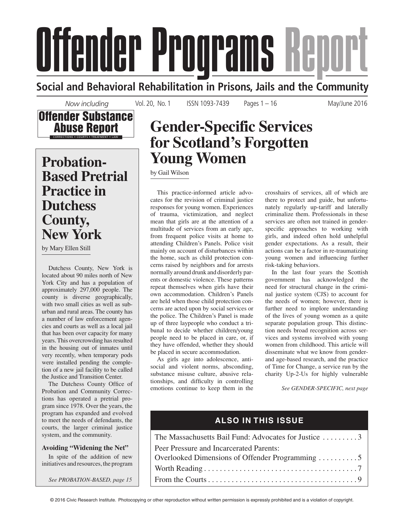# Offender Programs Report

**Social and Behavioral Rehabilitation in Prisons, Jails and the Community**

*Now including*



 **Probation-Based Pretrial Practice in Dutchess County, New York** 

by Mary Ellen Still

 Dutchess County, New York is located about 90 miles north of New York City and has a population of approximately 297,000 people. The county is diverse geographically, with two small cities as well as suburban and rural areas. The county has a number of law enforcement agencies and courts as well as a local jail that has been over capacity for many years. This overcrowding has resulted in the housing out of inmates until very recently, when temporary pods were installed pending the completion of a new jail facility to be called the Justice and Transition Center.

The Dutchess County Office of Probation and Community Corrections has operated a pretrial program since 1978. Over the years, the program has expanded and evolved to meet the needs of defendants, the courts, the larger criminal justice system, and the community.

## **Avoiding "Widening the Net"**

 In spite of the addition of new initiatives and resources, the program

*See PROBATION-BASED, page 15*

# **Gender-Specific Services for Scotland's Forgotten Young Women**

Vol. 20, No. 1 ISSN 1093-7439 Pages 1 – 16 May/June 2016

by Gail Wilson

 This practice-informed article advocates for the revision of criminal justice responses for young women. Experiences of trauma, victimization, and neglect mean that girls are at the attention of a multitude of services from an early age, from frequent police visits at home to attending Children's Panels. Police visit mainly on account of disturbances within the home, such as child protection concerns raised by neighbors and for arrests normally around drunk and disorderly parents or domestic violence. These patterns repeat themselves when girls have their own accommodation. Children's Panels are held when those child protection concerns are acted upon by social services or the police. The Children's Panel is made up of three laypeople who conduct a tribunal to decide whether children/young people need to be placed in care, or, if they have offended, whether they should be placed in secure accommodation.

 As girls age into adolescence, antisocial and violent norms, absconding, substance misuse culture, abusive relationships, and difficulty in controlling emotions continue to keep them in the

crosshairs of services, all of which are there to protect and guide, but unfortunately regularly up-tariff and laterally criminalize them. Professionals in these services are often not trained in genderspecific approaches to working with girls, and indeed often hold unhelpful gender expectations. As a result, their actions can be a factor in re-traumatizing young women and influencing further risk-taking behaviors.

 In the last four years the Scottish government has acknowledged the need for structural change in the criminal justice system (CJS) to account for the needs of women; however, there is further need to implore understanding of the lives of young women as a quite separate population group. This distinction needs broad recognition across services and systems involved with young women from childhood. This article will disseminate what we know from genderand age-based research, and the practice of Time for Change, a service run by the charity Up-2-Us for highly vulnerable

*See GENDER-SPECIFIC, next page*

# **ALSO IN THIS ISSUE**

| The Massachusetts Bail Fund: Advocates for Justice 3 |
|------------------------------------------------------|
| Peer Pressure and Incarcerated Parents:              |
| Overlooked Dimensions of Offender Programming 5      |
|                                                      |
|                                                      |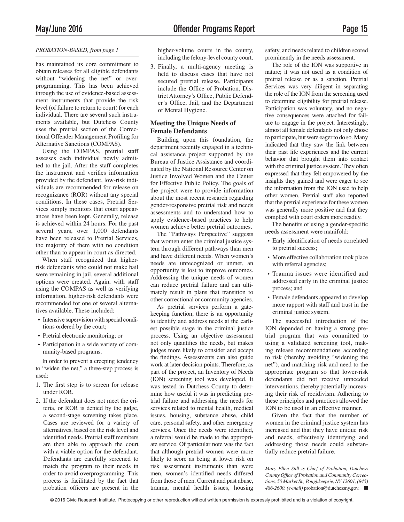### *PROBATION-BASED, from page 1*

has maintained its core commitment to obtain releases for all eligible defendants without "widening the net" or overprogramming. This has been achieved through the use of evidence-based assessment instruments that provide the risk level (of failure to return to court) for each individual. There are several such instruments available, but Dutchess County uses the pretrial section of the Correctional Offender Management Profiling for Alternative Sanctions (COMPAS).

 Using the COMPAS, pretrial staff assesses each individual newly admitted to the jail. After the staff completes the instrument and verifies information provided by the defendant, low-risk individuals are recommended for release on recognizance (ROR) without any special conditions. In these cases, Pretrial Services simply monitors that court appearances have been kept. Generally, release is achieved within 24 hours. For the past several years, over 1,000 defendants have been released to Pretrial Services, the majority of them with no condition other than to appear in court as directed.

 When staff recognized that higherrisk defendants who could not make bail were remaining in jail, several additional options were created. Again, with staff using the COMPAS as well as verifying information, higher-risk defendants were recommended for one of several alternatives available. These included:

- Intensive supervision with special conditions ordered by the court;
- Pretrial electronic monitoring; or
- Participation in a wide variety of community-based programs.

 In order to prevent a creeping tendency to "widen the net," a three-step process is used:

- 1. The first step is to screen for release under ROR.
- 2. If the defendant does not meet the criteria, or ROR is denied by the judge, a second-stage screening takes place. Cases are reviewed for a variety of alternatives, based on the risk level and identified needs. Pretrial staff members are then able to approach the court with a viable option for the defendant. Defendants are carefully screened to match the program to their needs in order to avoid overprogramming. This process is facilitated by the fact that probation officers are present in the

higher-volume courts in the county, including the felony-level county court.

 3. Finally, a multi-agency meeting is held to discuss cases that have not secured pretrial release. Participants include the Office of Probation, District Attorney's Office, Public Defender's Office, Jail, and the Department of Mental Hygiene.

### **Meeting the Unique Needs of Female Defendants**

 Building upon this foundation, the department recently engaged in a technical assistance project supported by the Bureau of Justice Assistance and coordinated by the National Resource Center on Justice Involved Women and the Center for Effective Public Policy. The goals of the project were to provide information about the most recent research regarding gender-responsive pretrial risk and needs assessments and to understand how to apply evidence-based practices to help women achieve better pretrial outcomes.

 The "Pathways Perspective" suggests that women enter the criminal justice system through different pathways than men and have different needs. When women's needs are unrecognized or unmet, an opportunity is lost to improve outcomes. Addressing the unique needs of women can reduce pretrial failure and can ultimately result in plans that transition to other correctional or community agencies.

 As pretrial services perform a gatekeeping function, there is an opportunity to identify and address needs at the earliest possible stage in the criminal justice process. Using an objective assessment not only quantifies the needs, but makes judges more likely to consider and accept the findings. Assessments can also guide work at later decision points. Therefore, as part of the project, an Inventory of Needs (ION) screening tool was developed. It was tested in Dutchess County to determine how useful it was in predicting pretrial failure and addressing the needs for services related to mental health, medical issues, housing, substance abuse, child care, personal safety, and other emergency services. Once the needs were identified, a referral would be made to the appropriate service. Of particular note was the fact that although pretrial women were more likely to score as being at lower risk on risk assessment instruments than were men, women's identified needs differed from those of men. Current and past abuse, trauma, mental health issues, housing safety, and needs related to children scored prominently in the needs assessment.

 The role of the ION was supportive in nature; it was not used as a condition of pretrial release or as a sanction. Pretrial Services was very diligent in separating the role of the ION from the screening used to determine eligibility for pretrial release. Participation was voluntary, and no negative consequences were attached for failure to engage in the project. Interestingly, almost all female defendants not only chose to participate, but were eager to do so. Many indicated that they saw the link between their past life experiences and the current behavior that brought them into contact with the criminal justice system. They often expressed that they felt empowered by the insights they gained and were eager to see the information from the ION used to help other women. Pretrial staff also reported that the pretrial experience for these women was generally more positive and that they complied with court orders more readily.

The benefits of using a gender-specific needs assessment were manifold:

- Early identification of needs correlated to pretrial success;
- More effective collaboration took place with referral agencies;
- Trauma issues were identified and addressed early in the criminal justice process; and
- Female defendants appeared to develop more rapport with staff and trust in the criminal justice system.

 The successful introduction of the ION depended on having a strong pretrial program that was committed to using a validated screening tool, making release recommendations according to risk (thereby avoiding "widening the net"), and matching risk and need to the appropriate program so that lower-risk defendants did not receive unneeded interventions, thereby potentially increasing their risk of recidivism. Adhering to these principles and practices allowed the ION to be used in an effective manner.

 Given the fact that the number of women in the criminal justice system has increased and that they have unique risk and needs, effectively identifying and addressing those needs could substantially reduce pretrial failure.

*Mary Ellen Still is Chief of Probation, Dutchess*  County Office of Probation and Community Correc*tions, 50 Market St., Poughkeepsie, NY 12601, (845) 486-2600, (e-mail)* probation@dutchessny.gov. Q